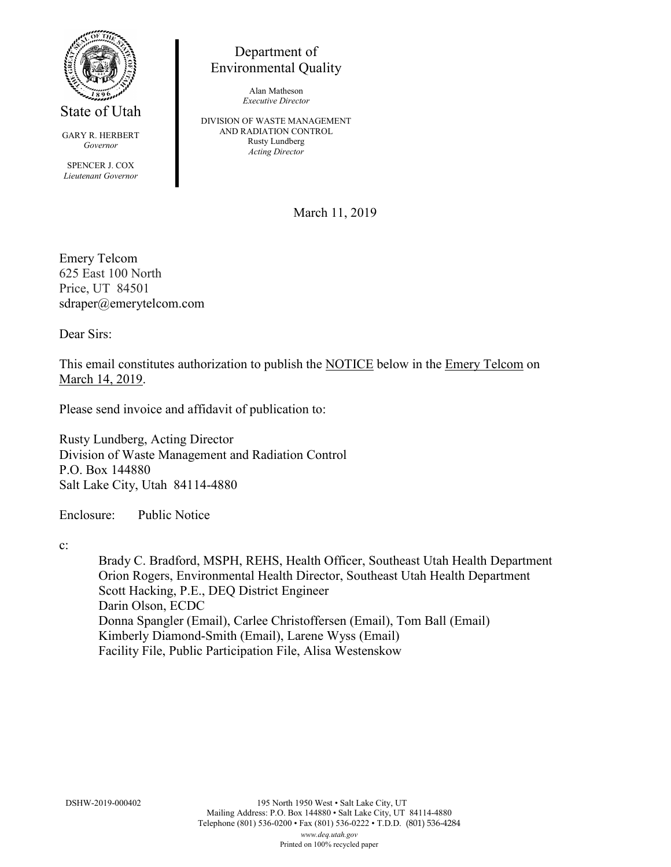

State of Utah

GARY R. HERBERT *Governor*

SPENCER J. COX *Lieutenant Governor*

Department of Environmental Quality

> Alan Matheson *Executive Director*

DIVISION OF WASTE MANAGEMENT AND RADIATION CONTROL Rusty Lundberg *Acting Director*

March 11, 2019

Emery Telcom 625 East 100 North Price, UT 84501 sdraper@emerytelcom.com

Dear Sirs:

This email constitutes authorization to publish the NOTICE below in the Emery Telcom on March 14, 2019.

Please send invoice and affidavit of publication to:

Rusty Lundberg, Acting Director Division of Waste Management and Radiation Control P.O. Box 144880 Salt Lake City, Utah 84114-4880

Enclosure: Public Notice

c:

Brady C. Bradford, MSPH, REHS, Health Officer, Southeast Utah Health Department Orion Rogers, Environmental Health Director, Southeast Utah Health Department Scott Hacking, P.E., DEQ District Engineer Darin Olson, ECDC Donna Spangler (Email), Carlee Christoffersen (Email), Tom Ball (Email) Kimberly Diamond-Smith (Email), Larene Wyss (Email) Facility File, Public Participation File, Alisa Westenskow